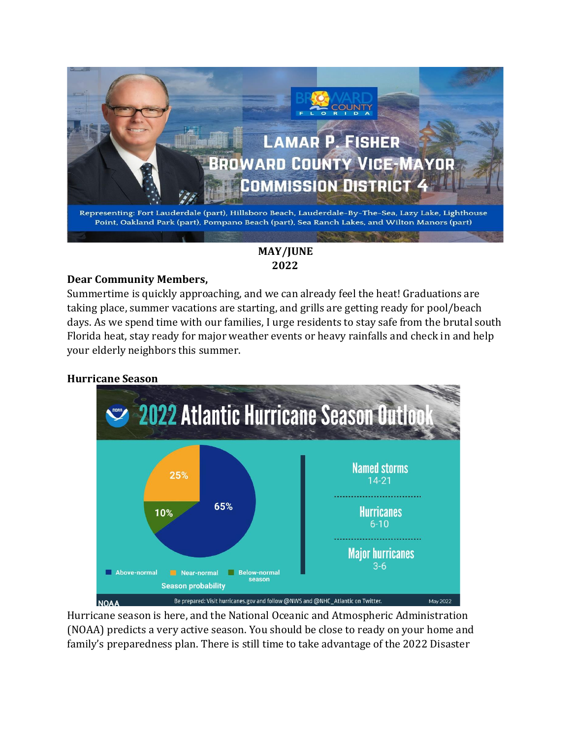

# **MAY/JUNE 2022**

# **Dear Community Members,**

Summertime is quickly approaching, and we can already feel the heat! Graduations are taking place, summer vacations are starting, and grills are getting ready for pool/beach days. As we spend time with our families, I urge residents to stay safe from the brutal south Florida heat, stay ready for major weather events or heavy rainfalls and check in and help your elderly neighbors this summer.

# **Hurricane Season**



Hurricane season is here, and the National Oceanic and Atmospheric Administration (NOAA) predicts a very active season. You should be close to ready on your home and family's preparedness plan. There is still time to take advantage of the 2022 Disaster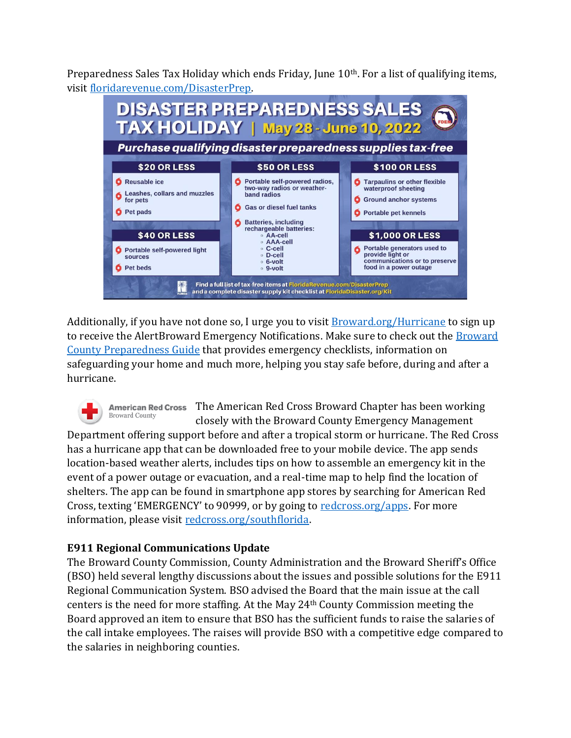Preparedness Sales Tax Holiday which ends Friday, June 10th. For a list of qualifying items, visit [floridarevenue.com/DisasterPrep.](https://floridarevenue.com/DisasterPrep/Pages/default.aspx)



Additionally, if you have not done so, I urge you to visit **Broward.org/Hurricane** to sign up to receive the AlertBroward Emergency Notifications. Make sure to check out th[e Broward](https://www.broward.org/Hurricane/Documents/HurricanePreparednessGuide.pdf)  [County Preparedness Guide](https://www.broward.org/Hurricane/Documents/HurricanePreparednessGuide.pdf) that provides emergency checklists, information on safeguarding your home and much more, helping you stay safe before, during and after a hurricane.

The American Red Cross Broward Chapter has been working **American Red Cross Broward County** closely with the Broward County Emergency Management

Department offering support before and after a tropical storm or hurricane. The Red Cross has a hurricane app that can be downloaded free to your mobile device. The app sends location-based weather alerts, includes tips on how to assemble an emergency kit in the event of a power outage or evacuation, and a real-time map to help find the location of shelters. The app can be found in smartphone app stores by searching for American Red Cross, texting 'EMERGENCY' to 90999, or by going to [redcross.org/apps.](https://www.redcross.org/get-help/how-to-prepare-for-emergencies/mobile-apps.html) For more information, please visit [redcross.org/southflorida.](https://www.redcross.org/local/florida/south-florida.html)

# **E911 Regional Communications Update**

The Broward County Commission, County Administration and the Broward Sheriff's Office (BSO) held several lengthy discussions about the issues and possible solutions for the E911 Regional Communication System. BSO advised the Board that the main issue at the call centers is the need for more staffing. At the May 24th County Commission meeting the Board approved an item to ensure that BSO has the sufficient funds to raise the salaries of the call intake employees. The raises will provide BSO with a competitive edge compared to the salaries in neighboring counties.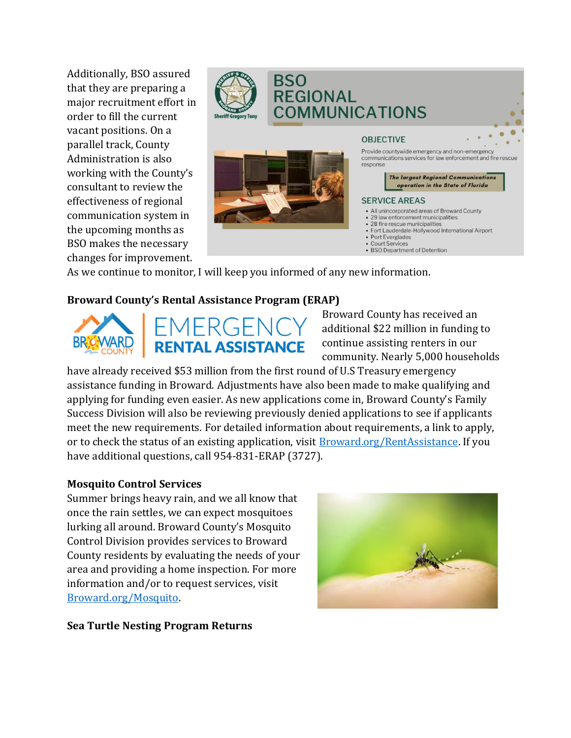Additionally, BSO assured that they are preparing a major recruitment effort in order to fill the current vacant positions. On a parallel track, County Administration is also working with the County's consultant to review the effectiveness of regional communication system in the upcoming months as BSO makes the necessary changes for improvement.



# **BSO REGIONAL COMMUNICATIONS**



#### **OBJECTIVE**

Provide countywide emergency and non-emergency communications services for law enforcement and fire rescue response

> The largest Regional Communications operation in the State of Florida

#### **SERVICE AREAS**

- All unincorporated areas of Broward County
- · 29 law enforcement municipalities · 28 fire rescue municipalities
- · Fort Lauderdale-Hollywood International Airport
- Port Everglades
- **Court Services**
- BSO Department of Detention

As we continue to monitor, I will keep you informed of any new information.

# **Broward County's Rental Assistance Program (ERAP)**



# IERGEN **RENTAL ASSISTANCE**

Broward County has received an additional \$22 million in funding to continue assisting renters in our community. Nearly 5,000 households

have already received \$53 million from the first round of U.S Treasury emergency assistance funding in Broward. Adjustments have also been made to make qualifying and applying for funding even easier. As new applications come in, Broward County's Family Success Division will also be reviewing previously denied applications to see if applicants meet the new requirements. For detailed information about requirements, a link to apply, or to check the status of an existing application, visi[t Broward.org/RentAssistance.](https://www.broward.org/RentAssistance/Pages/default.aspx) If you have additional questions, call 954-831-ERAP (3727).

# **Mosquito Control Services**

Summer brings heavy rain, and we all know that once the rain settles, we can expect mosquitoes lurking all around. Broward County's Mosquito Control Division provides services to Broward County residents by evaluating the needs of your area and providing a home inspection. For more information and/or to request services, visit [Broward.org/Mosquito.](https://www.broward.org/Mosquito/Pages/Default.aspx)



**Sea Turtle Nesting Program Returns**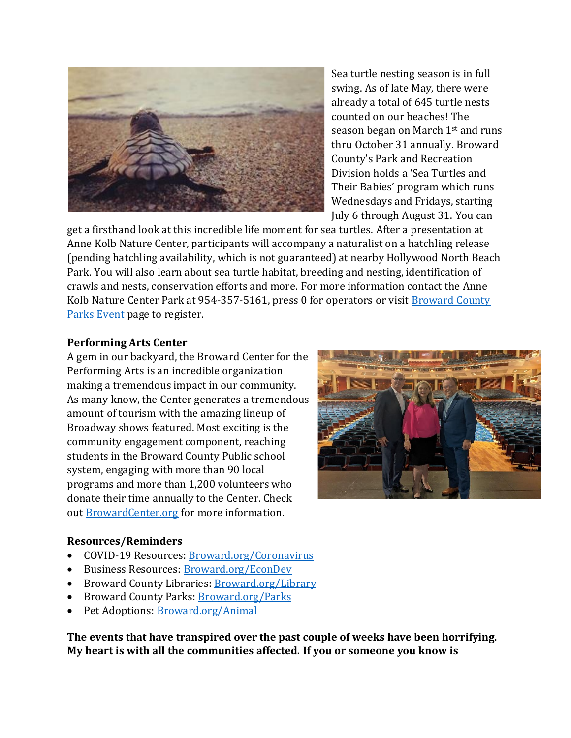

Sea turtle nesting season is in full swing. As of late May, there were already a total of 645 turtle nests counted on our beaches! The season began on March 1st and runs thru October 31 annually. Broward County's Park and Recreation Division holds a 'Sea Turtles and Their Babies' program which runs Wednesdays and Fridays, starting July 6 through August 31. You can

get a firsthand look at this incredible life moment for sea turtles. After a presentation at Anne Kolb Nature Center, participants will accompany a naturalist on a hatchling release (pending hatchling availability, which is not guaranteed) at nearby Hollywood North Beach Park. You will also learn about sea turtle habitat, breeding and nesting, identification of crawls and nests, conservation efforts and more. For more information contact the Anne Kolb Nature Center Park at 954-357-5161, press 0 for operators or visit **Broward County** [Parks Event](https://www.broward.org/Parks/Pages/eventsearch.aspx?=1) page to register.

#### **Performing Arts Center**

A gem in our backyard, the Broward Center for the Performing Arts is an incredible organization making a tremendous impact in our community. As many know, the Center generates a tremendous amount of tourism with the amazing lineup of Broadway shows featured. Most exciting is the community engagement component, reaching students in the Broward County Public school system, engaging with more than 90 local programs and more than 1,200 volunteers who donate their time annually to the Center. Check out [BrowardCenter.org](https://www.browardcenter.org/) for more information.



### **Resources/Reminders**

- COVID-19 Resources: [Broward.org/Coronavirus](https://www.broward.org/CoronaVirus/Pages/default.aspx)
- Business Resources[: Broward.org/EconDev](https://www.broward.org/EconDev/Pages/default.aspx)
- Broward County Libraries[: Broward.org/Library](https://www.broward.org/animal/Pages/Default.aspx)
- Broward County Parks: [Broward.org/Parks](https://www.broward.org/Parks/Pages/default.aspx)
- Pet Adoptions: [Broward.org/Animal](https://www.broward.org/animal/Pages/Default.aspx)

**The events that have transpired over the past couple of weeks have been horrifying. My heart is with all the communities affected. If you or someone you know is**